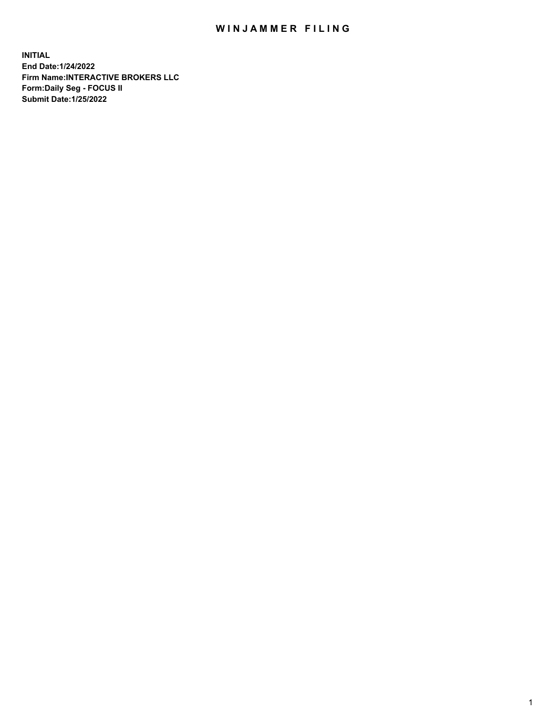## WIN JAMMER FILING

**INITIAL End Date:1/24/2022 Firm Name:INTERACTIVE BROKERS LLC Form:Daily Seg - FOCUS II Submit Date:1/25/2022**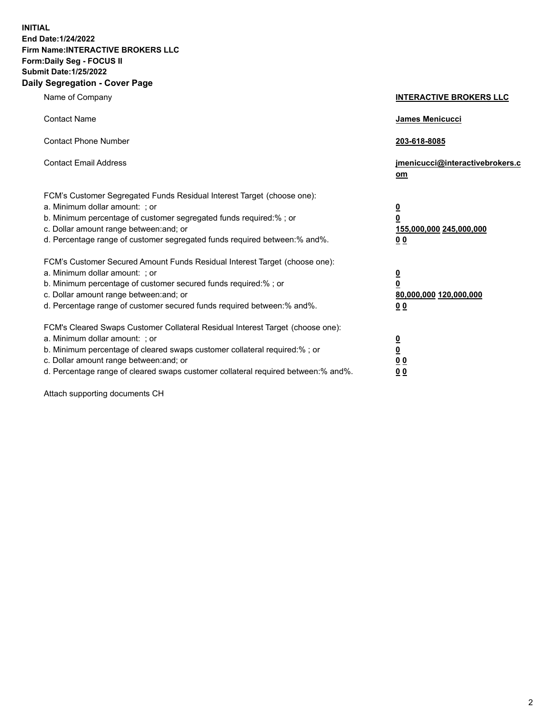**INITIAL End Date:1/24/2022 Firm Name:INTERACTIVE BROKERS LLC Form:Daily Seg - FOCUS II Submit Date:1/25/2022 Daily Segregation - Cover Page**

| Name of Company                                                                                                                                                                                                                                                                                                                | <b>INTERACTIVE BROKERS LLC</b>                                                                  |  |
|--------------------------------------------------------------------------------------------------------------------------------------------------------------------------------------------------------------------------------------------------------------------------------------------------------------------------------|-------------------------------------------------------------------------------------------------|--|
| <b>Contact Name</b>                                                                                                                                                                                                                                                                                                            | James Menicucci                                                                                 |  |
| <b>Contact Phone Number</b>                                                                                                                                                                                                                                                                                                    | 203-618-8085                                                                                    |  |
| <b>Contact Email Address</b>                                                                                                                                                                                                                                                                                                   | jmenicucci@interactivebrokers.c<br><u>om</u>                                                    |  |
| FCM's Customer Segregated Funds Residual Interest Target (choose one):<br>a. Minimum dollar amount: ; or<br>b. Minimum percentage of customer segregated funds required:% ; or<br>c. Dollar amount range between: and; or<br>d. Percentage range of customer segregated funds required between:% and%.                         | $\overline{\mathbf{0}}$<br>$\overline{\mathbf{0}}$<br>155,000,000 245,000,000<br>0 <sub>0</sub> |  |
| FCM's Customer Secured Amount Funds Residual Interest Target (choose one):<br>a. Minimum dollar amount: ; or<br>b. Minimum percentage of customer secured funds required:% ; or<br>c. Dollar amount range between: and; or<br>d. Percentage range of customer secured funds required between:% and%.                           | $\overline{\mathbf{0}}$<br>$\overline{\mathbf{0}}$<br>80,000,000 120,000,000<br>0 <sub>0</sub>  |  |
| FCM's Cleared Swaps Customer Collateral Residual Interest Target (choose one):<br>a. Minimum dollar amount: ; or<br>b. Minimum percentage of cleared swaps customer collateral required:% ; or<br>c. Dollar amount range between: and; or<br>d. Percentage range of cleared swaps customer collateral required between:% and%. | $\overline{\mathbf{0}}$<br>$\overline{\mathbf{0}}$<br>0 <sub>0</sub><br>0 <sub>0</sub>          |  |

Attach supporting documents CH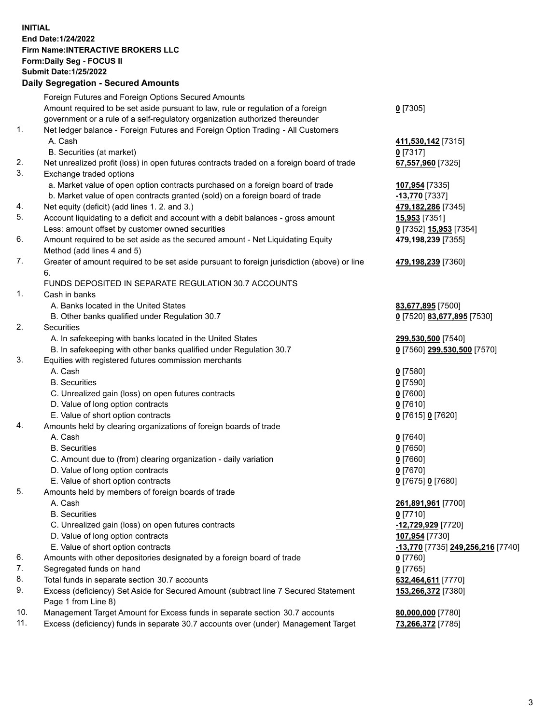**INITIAL End Date:1/24/2022 Firm Name:INTERACTIVE BROKERS LLC Form:Daily Seg - FOCUS II Submit Date:1/25/2022 Daily Segregation - Secured Amounts**

## Foreign Futures and Foreign Options Secured Amounts Amount required to be set aside pursuant to law, rule or regulation of a foreign government or a rule of a self-regulatory organization authorized thereunder **0** [7305] 1. Net ledger balance - Foreign Futures and Foreign Option Trading - All Customers A. Cash **411,530,142** [7315] B. Securities (at market) **0** [7317] 2. Net unrealized profit (loss) in open futures contracts traded on a foreign board of trade **67,557,960** [7325] 3. Exchange traded options a. Market value of open option contracts purchased on a foreign board of trade **107,954** [7335] b. Market value of open contracts granted (sold) on a foreign board of trade **-13,770** [7337] 4. Net equity (deficit) (add lines 1. 2. and 3.) **479,182,286** [7345] 5. Account liquidating to a deficit and account with a debit balances - gross amount **15,953** [7351] Less: amount offset by customer owned securities **0** [7352] **15,953** [7354] 6. Amount required to be set aside as the secured amount - Net Liquidating Equity Method (add lines 4 and 5) **479,198,239** [7355] 7. Greater of amount required to be set aside pursuant to foreign jurisdiction (above) or line 6. **479,198,239** [7360] FUNDS DEPOSITED IN SEPARATE REGULATION 30.7 ACCOUNTS 1. Cash in banks A. Banks located in the United States **83,677,895** [7500] B. Other banks qualified under Regulation 30.7 **0** [7520] **83,677,895** [7530] 2. Securities A. In safekeeping with banks located in the United States **299,530,500** [7540] B. In safekeeping with other banks qualified under Regulation 30.7 **0** [7560] **299,530,500** [7570] 3. Equities with registered futures commission merchants A. Cash **0** [7580] B. Securities **0** [7590] C. Unrealized gain (loss) on open futures contracts **0** [7600] D. Value of long option contracts **0** [7610] E. Value of short option contracts **0** [7615] **0** [7620] 4. Amounts held by clearing organizations of foreign boards of trade A. Cash **0** [7640] B. Securities **0** [7650] C. Amount due to (from) clearing organization - daily variation **0** [7660] D. Value of long option contracts **0** [7670] E. Value of short option contracts **0** [7675] **0** [7680] 5. Amounts held by members of foreign boards of trade A. Cash **261,891,961** [7700] B. Securities **0** [7710] C. Unrealized gain (loss) on open futures contracts **-12,729,929** [7720] D. Value of long option contracts **107,954** [7730] E. Value of short option contracts **-13,770** [7735] **249,256,216** [7740] 6. Amounts with other depositories designated by a foreign board of trade **0** [7760] 7. Segregated funds on hand **0** [7765] 8. Total funds in separate section 30.7 accounts **632,464,611** [7770] 9. Excess (deficiency) Set Aside for Secured Amount (subtract line 7 Secured Statement Page 1 from Line 8) **153,266,372** [7380] 10. Management Target Amount for Excess funds in separate section 30.7 accounts **80,000,000** [7780] 11. Excess (deficiency) funds in separate 30.7 accounts over (under) Management Target **73,266,372** [7785]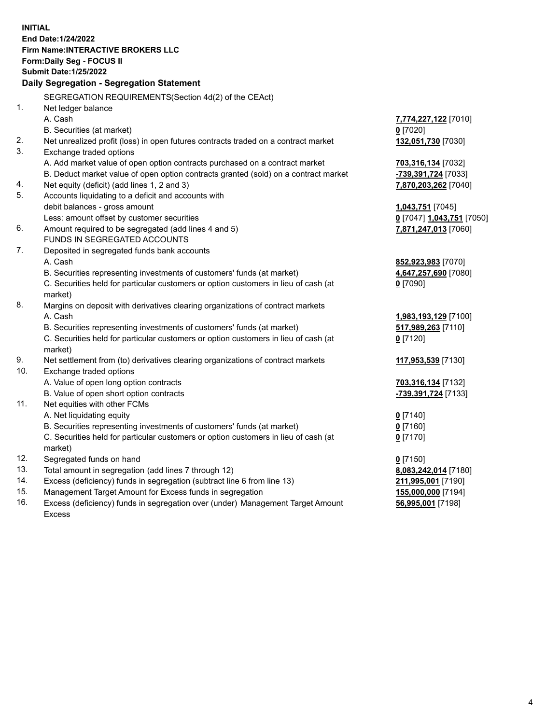**INITIAL End Date:1/24/2022 Firm Name:INTERACTIVE BROKERS LLC Form:Daily Seg - FOCUS II Submit Date:1/25/2022 Daily Segregation - Segregation Statement** SEGREGATION REQUIREMENTS(Section 4d(2) of the CEAct) 1. Net ledger balance A. Cash **7,774,227,122** [7010] B. Securities (at market) **0** [7020] 2. Net unrealized profit (loss) in open futures contracts traded on a contract market **132,051,730** [7030] 3. Exchange traded options A. Add market value of open option contracts purchased on a contract market **703,316,134** [7032] B. Deduct market value of open option contracts granted (sold) on a contract market **-739,391,724** [7033] 4. Net equity (deficit) (add lines 1, 2 and 3) **7,870,203,262** [7040] 5. Accounts liquidating to a deficit and accounts with debit balances - gross amount **1,043,751** [7045] Less: amount offset by customer securities **0** [7047] **1,043,751** [7050] 6. Amount required to be segregated (add lines 4 and 5) **7,871,247,013** [7060] FUNDS IN SEGREGATED ACCOUNTS 7. Deposited in segregated funds bank accounts A. Cash **852,923,983** [7070] B. Securities representing investments of customers' funds (at market) **4,647,257,690** [7080] C. Securities held for particular customers or option customers in lieu of cash (at market) **0** [7090] 8. Margins on deposit with derivatives clearing organizations of contract markets A. Cash **1,983,193,129** [7100] B. Securities representing investments of customers' funds (at market) **517,989,263** [7110] C. Securities held for particular customers or option customers in lieu of cash (at market) **0** [7120] 9. Net settlement from (to) derivatives clearing organizations of contract markets **117,953,539** [7130] 10. Exchange traded options A. Value of open long option contracts **703,316,134** [7132] B. Value of open short option contracts **-739,391,724** [7133] 11. Net equities with other FCMs A. Net liquidating equity **0** [7140] B. Securities representing investments of customers' funds (at market) **0** [7160] C. Securities held for particular customers or option customers in lieu of cash (at market) **0** [7170] 12. Segregated funds on hand **0** [7150] 13. Total amount in segregation (add lines 7 through 12) **8,083,242,014** [7180] 14. Excess (deficiency) funds in segregation (subtract line 6 from line 13) **211,995,001** [7190] 15. Management Target Amount for Excess funds in segregation **155,000,000** [7194] 16. Excess (deficiency) funds in segregation over (under) Management Target Amount **56,995,001** [7198]

Excess